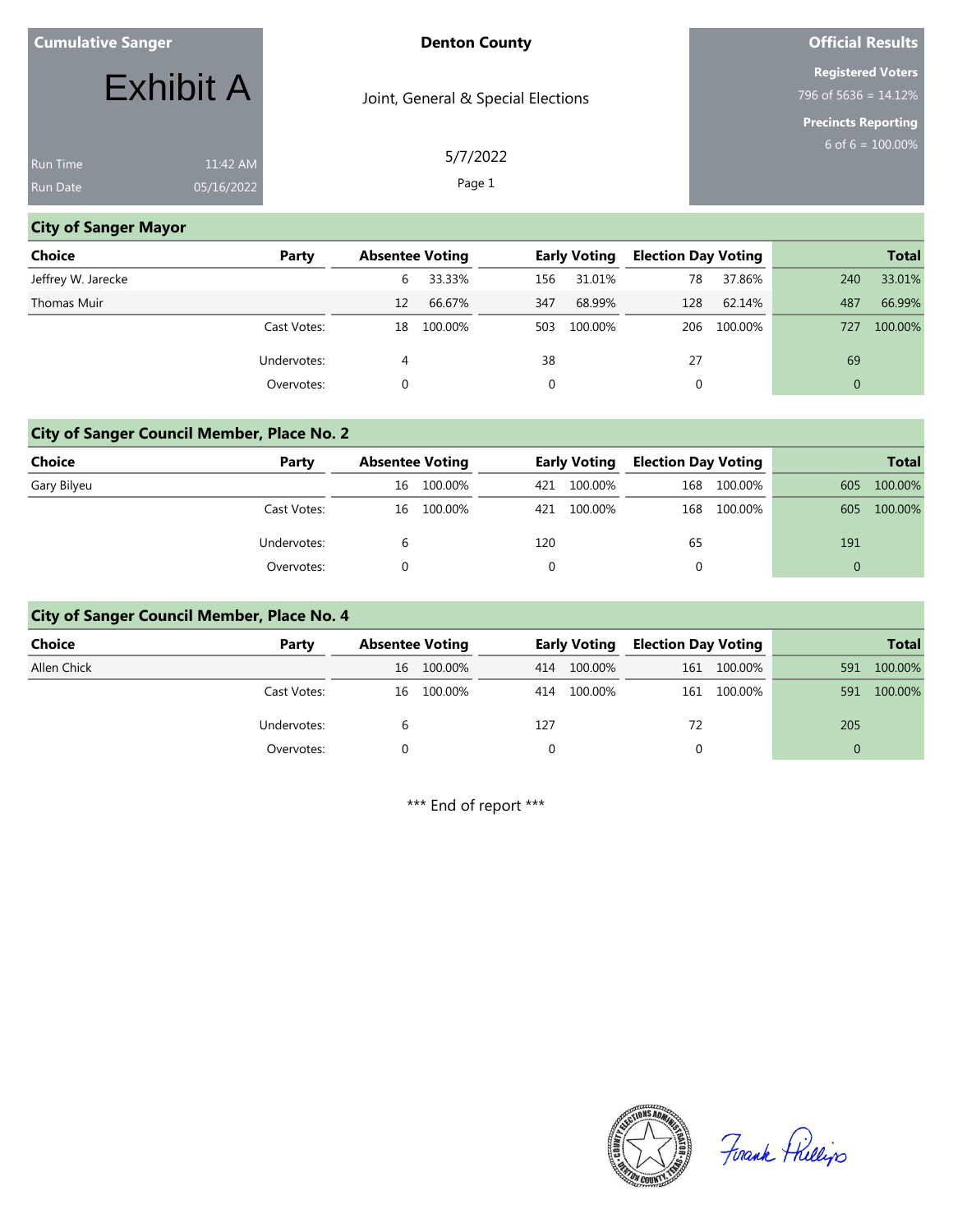|  | <b>Cumulative Sanger</b> |
|--|--------------------------|
|  |                          |
|  |                          |
|  |                          |

#### **Denton County**

Joint, General & Special Elections

# **Official Results**

**Registered Voters**

796 of 5636 = 14.12% **Precincts Reporting**

6 of  $6 = 100.00\%$ 

11:42 AM 05/16/2022

Exhibit A

5/7/2022 Page 1

#### **City of Sanger Mayor**

| <b>Choice</b>      | Party       | <b>Absentee Voting</b> |         |     | <b>Early Voting</b> | <b>Election Day Voting</b> |             |              | <b>Total</b> |
|--------------------|-------------|------------------------|---------|-----|---------------------|----------------------------|-------------|--------------|--------------|
| Jeffrey W. Jarecke |             | 6                      | 33.33%  | 156 | 31.01%              | 78                         | 37.86%      | 240          | 33.01%       |
| Thomas Muir        |             | 12                     | 66.67%  | 347 | 68.99%              | 128                        | 62.14%      | 487          | 66.99%       |
|                    | Cast Votes: | 18                     | 100.00% | 503 | 100.00%             |                            | 206 100.00% | 727          | 100.00%      |
|                    | Undervotes: | 4                      |         | 38  |                     | 27                         |             | 69           |              |
|                    | Overvotes:  |                        |         | 0   |                     | 0                          |             | $\mathbf{0}$ |              |

#### **City of Sanger Council Member, Place No. 2**

| <b>Choice</b> | Party       | <b>Absentee Voting</b> |         | <b>Early Voting</b> |         | <b>Election Day Voting</b> |         |          | <b>Total</b> |
|---------------|-------------|------------------------|---------|---------------------|---------|----------------------------|---------|----------|--------------|
| Gary Bilyeu   |             | 16                     | 100.00% | 421                 | 100.00% | 168                        | 100.00% | 605      | 100.00%      |
|               | Cast Votes: | 16                     | 100.00% | 421                 | 100.00% | 168                        | 100.00% | 605      | 100.00%      |
|               | Undervotes: | b                      |         | 120                 |         | 65                         |         | 191      |              |
|               | Overvotes:  |                        |         |                     |         |                            |         | $\Omega$ |              |

#### **City of Sanger Council Member, Place No. 4**

| <b>Choice</b> | Party       | <b>Absentee Voting</b> |            | <b>Early Voting</b> |         | <b>Election Day Voting</b> |             |     | <b>Total</b> |
|---------------|-------------|------------------------|------------|---------------------|---------|----------------------------|-------------|-----|--------------|
| Allen Chick   |             | 16                     | 100.00%    | 414                 | 100.00% |                            | 161 100.00% | 591 | 100.00%      |
|               | Cast Votes: |                        | 16 100.00% | 414                 | 100.00% |                            | 161 100.00% | 591 | 100.00%      |
|               | Undervotes: |                        |            | 127                 |         | 72                         |             | 205 |              |
|               | Overvotes:  |                        |            |                     |         |                            |             | 0   |              |

\*\*\* End of report \*\*\*



Firank Fhillips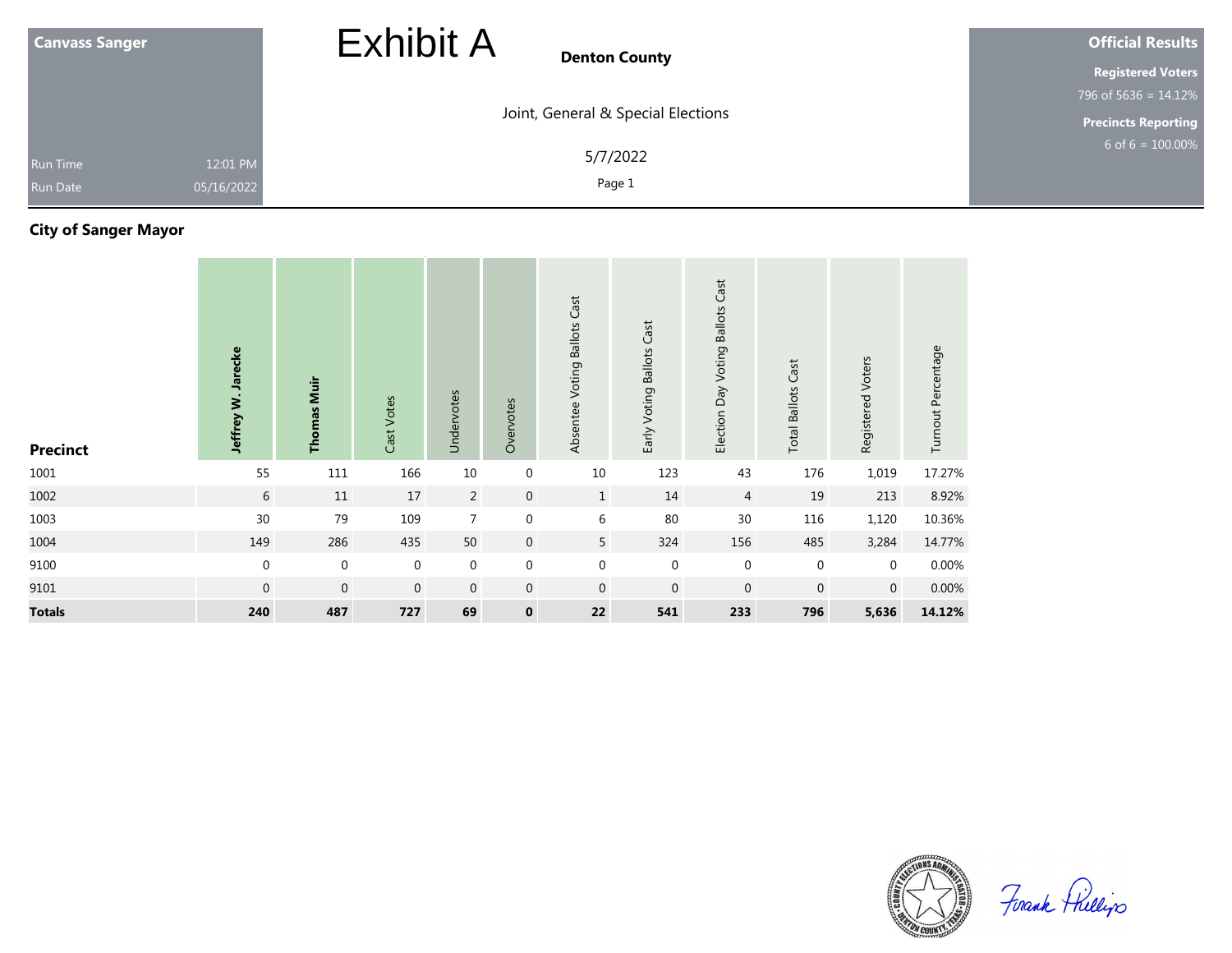| <b>Canvass Sanger</b>                                        | <b>Exhibit A</b><br><b>Denton County</b> | <b>Official Results</b>    |  |  |
|--------------------------------------------------------------|------------------------------------------|----------------------------|--|--|
|                                                              |                                          | <b>Registered Voters</b>   |  |  |
|                                                              |                                          | 796 of $5636 = 14.12\%$    |  |  |
|                                                              | Joint, General & Special Elections       | <b>Precincts Reporting</b> |  |  |
| 12:01 PM<br><b>Run Time</b><br>05/16/2022<br><b>Run Date</b> | 5/7/2022<br>Page 1                       | $6$ of $6 = 100.00\%$      |  |  |

# **City of Sanger Mayor**

| <b>Precinct</b> | Jeffrey W. Jarecke | <b>Thomas Muir</b> | Cast Votes  | Undervotes     | Overvotes      | Absentee Voting Ballots Cast | Early Voting Ballots Cast | Election Day Voting Ballots Cast | Cast<br><b>Total Ballots</b> | Registered Voters | Turnout Percentage |
|-----------------|--------------------|--------------------|-------------|----------------|----------------|------------------------------|---------------------------|----------------------------------|------------------------------|-------------------|--------------------|
| 1001            | 55                 | 111                | 166         | 10             | $\mathbf 0$    | 10                           | 123                       | 43                               | 176                          | 1,019             | 17.27%             |
| 1002            | 6                  | 11                 | 17          | $\overline{2}$ | $\mathbf 0$    | $\mathbf{1}$                 | 14                        | 4                                | 19                           | 213               | 8.92%              |
| 1003            | 30                 | 79                 | 109         | $\overline{7}$ | $\mathbf 0$    | 6                            | 80                        | 30                               | 116                          | 1,120             | 10.36%             |
| 1004            | 149                | 286                | 435         | 50             | $\overline{0}$ | 5 <sub>5</sub>               | 324                       | 156                              | 485                          | 3,284             | 14.77%             |
| 9100            | $\mathbf 0$        | $\mathbf 0$        | $\mathbf 0$ | $\mathbf 0$    | $\mathbf 0$    | $\boldsymbol{0}$             | $\boldsymbol{0}$          | $\mathbf 0$                      | $\mathbf 0$                  | $\mathbf 0$       | 0.00%              |
| 9101            | $\mathbf 0$        | $\mathbf 0$        | $\mathbf 0$ | $\mathbf 0$    | $\mathbf 0$    | $\mathbf 0$                  | $\mathbf 0$               | $\mathbf 0$                      | $\mathbf 0$                  | $\overline{0}$    | 0.00%              |
| <b>Totals</b>   | 240                | 487                | 727         | 69             | $\mathbf 0$    | 22                           | 541                       | 233                              | 796                          | 5,636             | 14.12%             |



Firank Fhillips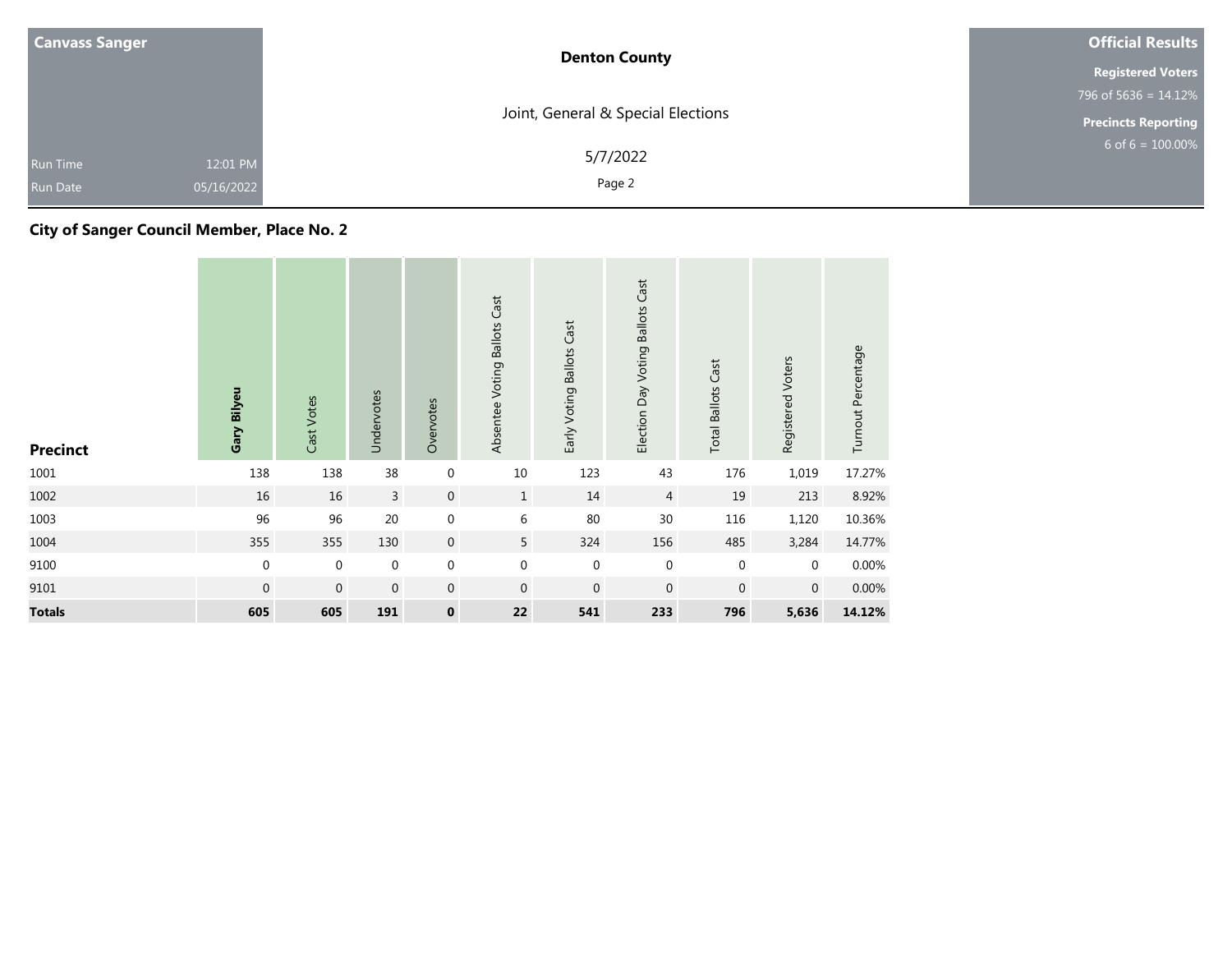| <b>Canvass Sanger</b>                                 | <b>Denton County</b>               | <b>Official Results</b>    |  |  |
|-------------------------------------------------------|------------------------------------|----------------------------|--|--|
|                                                       |                                    | <b>Registered Voters</b>   |  |  |
|                                                       |                                    | 796 of 5636 = $14.12\%$    |  |  |
|                                                       | Joint, General & Special Elections | <b>Precincts Reporting</b> |  |  |
| 12:01 PM<br>Run Time<br>05/16/2022<br><b>Run Date</b> | 5/7/2022<br>Page 2                 | 6 of $6 = 100.00\%$        |  |  |

## **City of Sanger Council Member, Place No. 2**

| <b>Precinct</b> | Gary Bilyeu      | Cast Votes   | Undervotes     | Overvotes        | Absentee Voting Ballots Cast | Early Voting Ballots Cast | Election Day Voting Ballots Cast | <b>Total Ballots Cast</b> | Registered Voters | Turnout Percentage |
|-----------------|------------------|--------------|----------------|------------------|------------------------------|---------------------------|----------------------------------|---------------------------|-------------------|--------------------|
| 1001            | 138              | 138          | 38             | $\boldsymbol{0}$ | 10                           | 123                       | 43                               | 176                       | 1,019             | 17.27%             |
| 1002            | 16               | 16           | $\overline{3}$ | $\mathbf{0}$     | $\mathbf{1}$                 | 14                        | $\overline{4}$                   | 19                        | 213               | 8.92%              |
| 1003            | 96               | 96           | 20             | $\boldsymbol{0}$ | 6                            | 80                        | 30                               | 116                       | 1,120             | 10.36%             |
| 1004            | 355              | 355          | 130            | $\,0\,$          | 5                            | 324                       | 156                              | 485                       | 3,284             | 14.77%             |
| 9100            | $\pmb{0}$        | $\mathbf 0$  | $\mathbf 0$    | $\boldsymbol{0}$ | $\boldsymbol{0}$             | $\mathbf{0}$              | $\mathbf 0$                      | $\mathbf 0$               | $\mathbf 0$       | 0.00%              |
| 9101            | $\boldsymbol{0}$ | $\mathbf{0}$ | $\mathbf 0$    | $\mathbf 0$      | $\mathbf 0$                  | $\mathbf 0$               | $\mathbf{0}$                     | $\mathbf{0}$              | $\mathbf 0$       | 0.00%              |
| <b>Totals</b>   | 605              | 605          | 191            | $\pmb{0}$        | 22                           | 541                       | 233                              | 796                       | 5,636             | 14.12%             |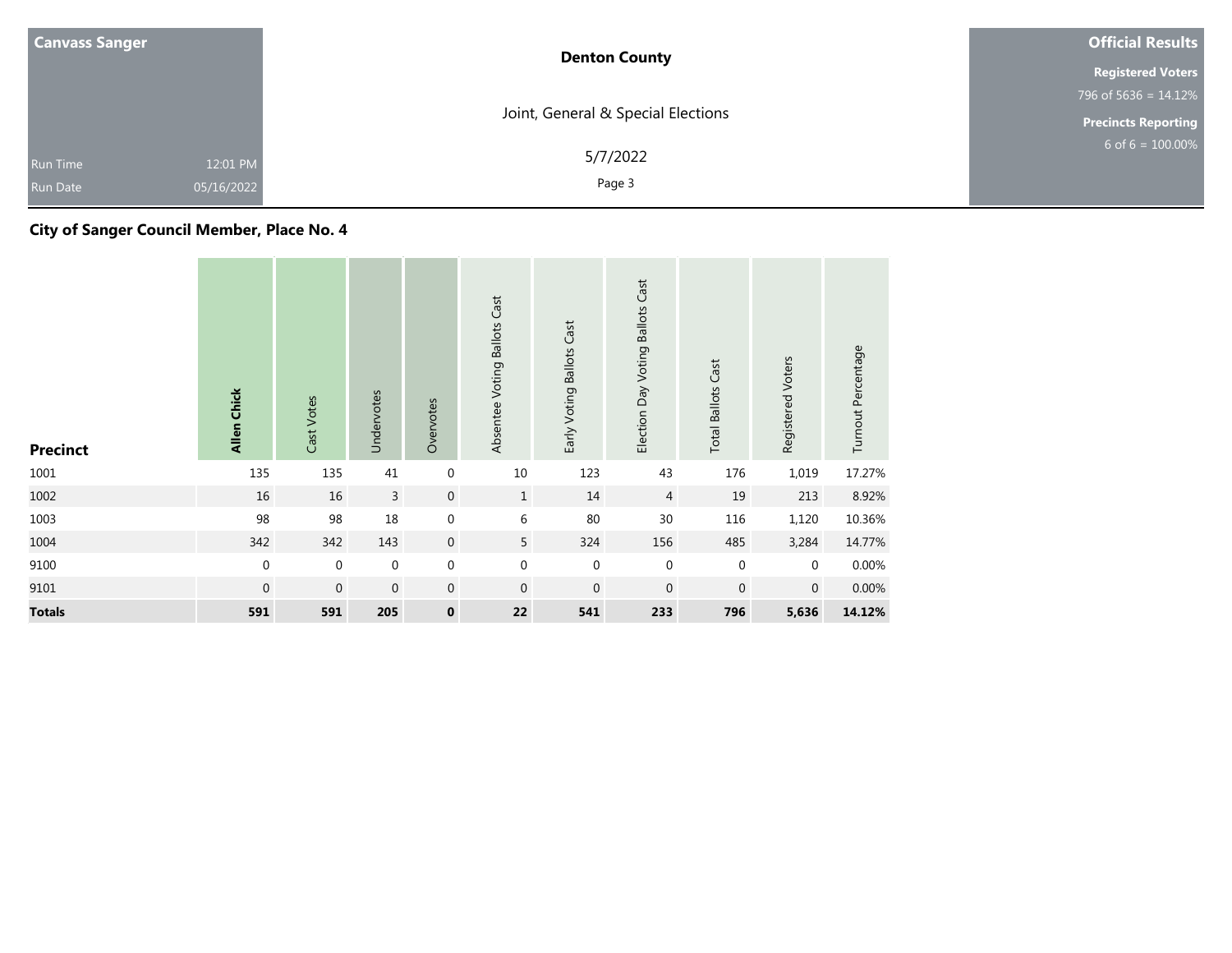| <b>Canvass Sanger</b>                                 | <b>Denton County</b>               | <b>Official Results</b>    |  |  |
|-------------------------------------------------------|------------------------------------|----------------------------|--|--|
|                                                       |                                    | <b>Registered Voters</b>   |  |  |
|                                                       |                                    | 796 of 5636 = $14.12\%$    |  |  |
|                                                       | Joint, General & Special Elections | <b>Precincts Reporting</b> |  |  |
| 12:01 PM<br>Run Time<br>05/16/2022<br><b>Run Date</b> | 5/7/2022<br>Page 3                 | 6 of $6 = 100.00\%$        |  |  |

## **City of Sanger Council Member, Place No. 4**

| <b>Precinct</b> | <b>Allen Chick</b> | Cast Votes       | Undervotes   | Overvotes        | Absentee Voting Ballots Cast | Early Voting Ballots Cast | Election Day Voting Ballots Cast | <b>Total Ballots Cast</b> | Registered Voters | Turnout Percentage |
|-----------------|--------------------|------------------|--------------|------------------|------------------------------|---------------------------|----------------------------------|---------------------------|-------------------|--------------------|
| 1001            | 135                | 135              | 41           | $\boldsymbol{0}$ | 10                           | 123                       | 43                               | 176                       | 1,019             | 17.27%             |
| 1002            | 16                 | 16               | $\mathsf{3}$ | $\mathbf{0}$     | $\mathbf{1}$                 | 14                        | $\overline{4}$                   | 19                        | 213               | 8.92%              |
| 1003            | 98                 | 98               | 18           | $\boldsymbol{0}$ | 6                            | 80                        | 30                               | 116                       | 1,120             | 10.36%             |
| 1004            | 342                | 342              | 143          | $\,0\,$          | 5                            | 324                       | 156                              | 485                       | 3,284             | 14.77%             |
| 9100            | $\boldsymbol{0}$   | $\boldsymbol{0}$ | $\mathbf 0$  | $\boldsymbol{0}$ | $\boldsymbol{0}$             | $\mathbf 0$               | $\mathbf 0$                      | $\mathbf 0$               | $\mathbf 0$       | 0.00%              |
| 9101            | $\mathbf 0$        | $\mathbf{0}$     | $\mathbf 0$  | $\boldsymbol{0}$ | $\mathbf 0$                  | $\mathbf{0}$              | $\mathbf{0}$                     | $\mathbf 0$               | $\overline{0}$    | 0.00%              |
| <b>Totals</b>   | 591                | 591              | 205          | $\pmb{0}$        | 22                           | 541                       | 233                              | 796                       | 5,636             | 14.12%             |